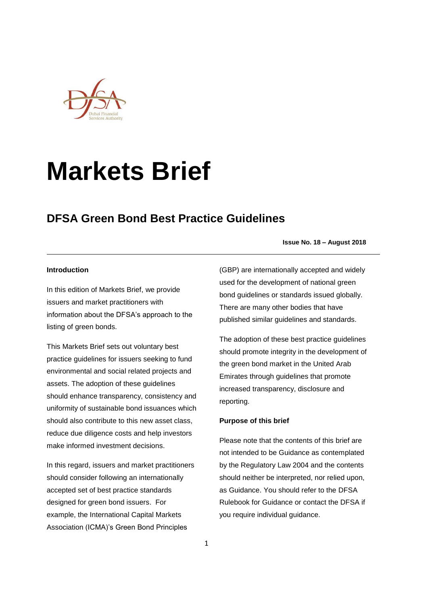

# **Markets Brief**

## **DFSA Green Bond Best Practice Guidelines**

### **Issue No. 18 – August 2018**

#### **Introduction**

In this edition of Markets Brief, we provide issuers and market practitioners with information about the DFSA's approach to the listing of green bonds.

This Markets Brief sets out voluntary best practice guidelines for issuers seeking to fund environmental and social related projects and assets. The adoption of these guidelines should enhance transparency, consistency and uniformity of sustainable bond issuances which should also contribute to this new asset class, reduce due diligence costs and help investors make informed investment decisions.

In this regard, issuers and market practitioners should consider following an internationally accepted set of best practice standards designed for green bond issuers. For example, the International Capital Markets Association (ICMA)'s Green Bond Principles

(GBP) are internationally accepted and widely used for the development of national green bond guidelines or standards issued globally. There are many other bodies that have published similar guidelines and standards.

The adoption of these best practice guidelines should promote integrity in the development of the green bond market in the United Arab Emirates through guidelines that promote increased transparency, disclosure and reporting.

## **Purpose of this brief**

Please note that the contents of this brief are not intended to be Guidance as contemplated by the Regulatory Law 2004 and the contents should neither be interpreted, nor relied upon, as Guidance. You should refer to the DFSA Rulebook for Guidance or contact the DFSA if you require individual guidance.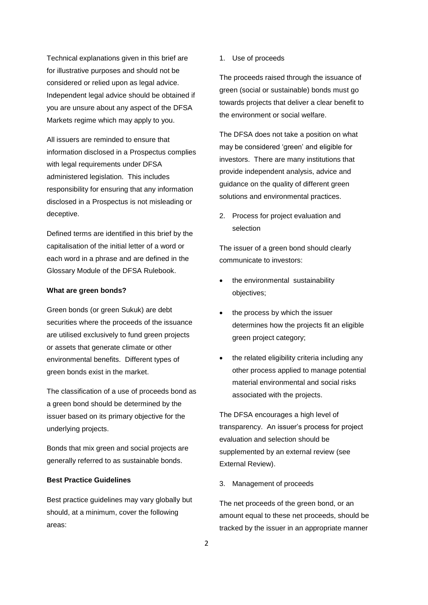Technical explanations given in this brief are for illustrative purposes and should not be considered or relied upon as legal advice. Independent legal advice should be obtained if you are unsure about any aspect of the DFSA Markets regime which may apply to you.

All issuers are reminded to ensure that information disclosed in a Prospectus complies with legal requirements under DFSA administered legislation. This includes responsibility for ensuring that any information disclosed in a Prospectus is not misleading or deceptive.

Defined terms are identified in this brief by the capitalisation of the initial letter of a word or each word in a phrase and are defined in the Glossary Module of the DFSA Rulebook.

#### **What are green bonds?**

Green bonds (or green Sukuk) are debt securities where the proceeds of the issuance are utilised exclusively to fund green projects or assets that generate climate or other environmental benefits. Different types of green bonds exist in the market.

The classification of a use of proceeds bond as a green bond should be determined by the issuer based on its primary objective for the underlying projects.

Bonds that mix green and social projects are generally referred to as sustainable bonds.

## **Best Practice Guidelines**

Best practice guidelines may vary globally but should, at a minimum, cover the following areas:

1. Use of proceeds

The proceeds raised through the issuance of green (social or sustainable) bonds must go towards projects that deliver a clear benefit to the environment or social welfare.

The DFSA does not take a position on what may be considered 'green' and eligible for investors. There are many institutions that provide independent analysis, advice and guidance on the quality of different green solutions and environmental practices.

2. Process for project evaluation and selection

The issuer of a green bond should clearly communicate to investors:

- the environmental sustainability objectives;
- the process by which the issuer determines how the projects fit an eligible green project category;
- the related eligibility criteria including any other process applied to manage potential material environmental and social risks associated with the projects.

The DFSA encourages a high level of transparency. An issuer's process for project evaluation and selection should be supplemented by an external review (see External Review).

3. Management of proceeds

The net proceeds of the green bond, or an amount equal to these net proceeds, should be tracked by the issuer in an appropriate manner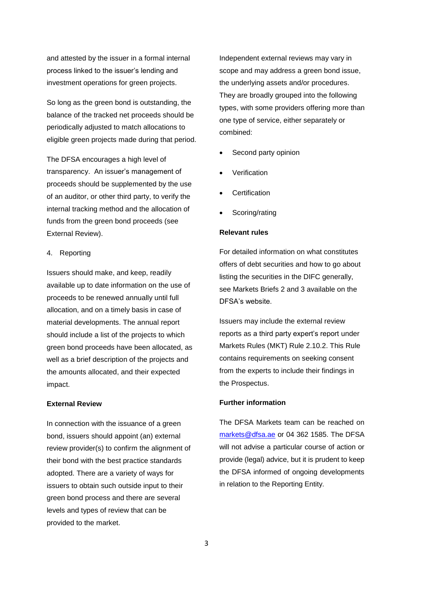and attested by the issuer in a formal internal process linked to the issuer's lending and investment operations for green projects.

So long as the green bond is outstanding, the balance of the tracked net proceeds should be periodically adjusted to match allocations to eligible green projects made during that period.

The DFSA encourages a high level of transparency. An issuer's management of proceeds should be supplemented by the use of an auditor, or other third party, to verify the internal tracking method and the allocation of funds from the green bond proceeds (see External Review).

#### 4. Reporting

Issuers should make, and keep, readily available up to date information on the use of proceeds to be renewed annually until full allocation, and on a timely basis in case of material developments. The annual report should include a list of the projects to which green bond proceeds have been allocated, as well as a brief description of the projects and the amounts allocated, and their expected impact.

#### **External Review**

In connection with the issuance of a green bond, issuers should appoint (an) external review provider(s) to confirm the alignment of their bond with the best practice standards adopted. There are a variety of ways for issuers to obtain such outside input to their green bond process and there are several levels and types of review that can be provided to the market.

Independent external reviews may vary in scope and may address a green bond issue, the underlying assets and/or procedures. They are broadly grouped into the following types, with some providers offering more than one type of service, either separately or combined:

- Second party opinion
- **Verification**
- **Certification**
- Scoring/rating

## **Relevant rules**

For detailed information on what constitutes offers of debt securities and how to go about listing the securities in the DIFC generally, see Markets Briefs 2 and 3 available on the DFSA's website.

Issuers may include the external review reports as a third party expert's report under Markets Rules (MKT) Rule 2.10.2. This Rule contains requirements on seeking consent from the experts to include their findings in the Prospectus.

#### **Further information**

The DFSA Markets team can be reached on [markets@dfsa.ae](mailto:markets@dfsa.ae) or 04 362 1585. The DFSA will not advise a particular course of action or provide (legal) advice, but it is prudent to keep the DFSA informed of ongoing developments in relation to the Reporting Entity.